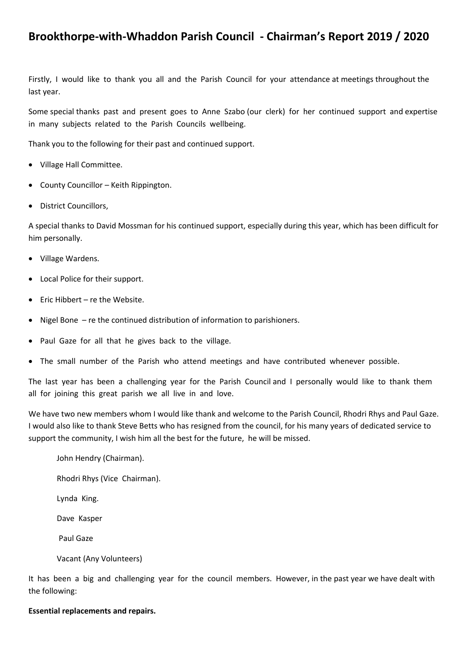# **Brookthorpe-with-Whaddon Parish Council - Chairman's Report 2019 / 2020**

Firstly, I would like to thank you all and the Parish Council for your attendance at meetings throughout the last year.

Some special thanks past and present goes to Anne Szabo (our clerk) for her continued support and expertise in many subjects related to the Parish Councils wellbeing.

Thank you to the following for their past and continued support.

- Village Hall Committee.
- County Councillor Keith Rippington.
- District Councillors,

A special thanks to David Mossman for his continued support, especially during this year, which has been difficult for him personally.

- Village Wardens.
- Local Police for their support.
- Eric Hibbert re the Website.
- Nigel Bone re the continued distribution of information to parishioners.
- Paul Gaze for all that he gives back to the village.
- The small number of the Parish who attend meetings and have contributed whenever possible.

The last year has been a challenging year for the Parish Council and I personally would like to thank them all for joining this great parish we all live in and love.

We have two new members whom I would like thank and welcome to the Parish Council, Rhodri Rhys and Paul Gaze. I would also like to thank Steve Betts who has resigned from the council, for his many years of dedicated service to support the community, I wish him all the best for the future, he will be missed.

- John Hendry (Chairman).
- Rhodri Rhys (Vice Chairman).
- Lynda King.
- Dave Kasper
- Paul Gaze
- Vacant (Any Volunteers)

It has been a big and challenging year for the council members. However, in the past year we have dealt with the following:

### **Essential replacements and repairs.**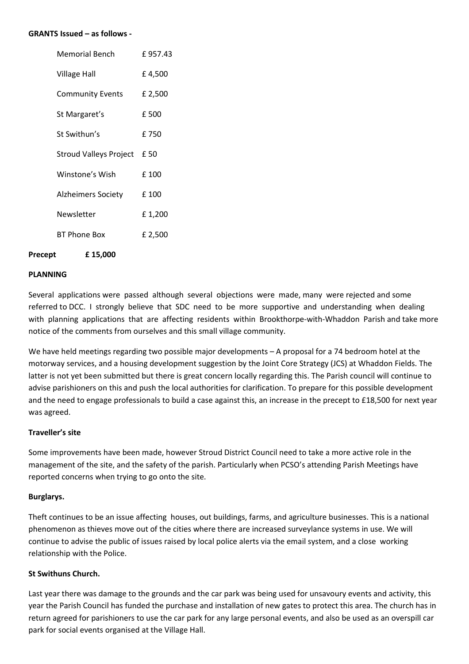#### **GRANTS Issued – as follows -**

| Memorial Bench                | £957.43 |
|-------------------------------|---------|
| <b>Village Hall</b>           | £4,500  |
| <b>Community Events</b>       | £ 2,500 |
| St Margaret's                 | £500    |
| St Swithun's                  | £750    |
| <b>Stroud Valleys Project</b> | £ 50    |
| Winstone's Wish               | £100    |
| Alzheimers Society            | £ 100   |
| Newsletter                    | £1,200  |
| BT Phone Box                  | £ 2,500 |
|                               |         |

**Precept £ 15,000** 

#### **PLANNING**

Several applications were passed although several objections were made, many were rejected and some referred to DCC. I strongly believe that SDC need to be more supportive and understanding when dealing with planning applications that are affecting residents within Brookthorpe-with-Whaddon Parish and take more notice of the comments from ourselves and this small village community.

We have held meetings regarding two possible major developments – A proposal for a 74 bedroom hotel at the motorway services, and a housing development suggestion by the Joint Core Strategy (JCS) at Whaddon Fields. The latter is not yet been submitted but there is great concern locally regarding this. The Parish council will continue to advise parishioners on this and push the local authorities for clarification. To prepare for this possible development and the need to engage professionals to build a case against this, an increase in the precept to £18,500 for next year was agreed.

#### **Traveller's site**

Some improvements have been made, however Stroud District Council need to take a more active role in the management of the site, and the safety of the parish. Particularly when PCSO's attending Parish Meetings have reported concerns when trying to go onto the site.

#### **Burglarys.**

Theft continues to be an issue affecting houses, out buildings, farms, and agriculture businesses. This is a national phenomenon as thieves move out of the cities where there are increased surveylance systems in use. We will continue to advise the public of issues raised by local police alerts via the email system, and a close working relationship with the Police.

## **St Swithuns Church.**

Last year there was damage to the grounds and the car park was being used for unsavoury events and activity, this year the Parish Council has funded the purchase and installation of new gates to protect this area. The church has in return agreed for parishioners to use the car park for any large personal events, and also be used as an overspill car park for social events organised at the Village Hall.